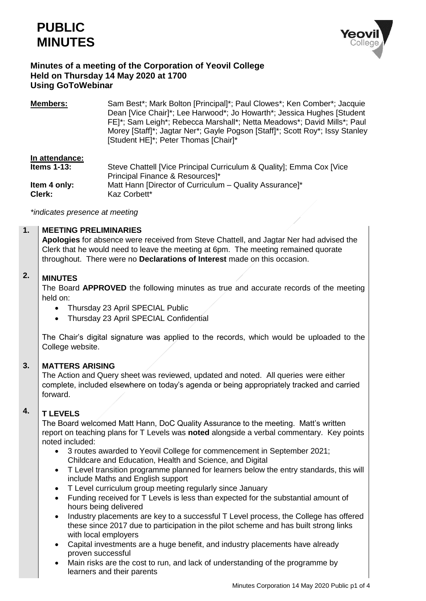



## **Minutes of a meeting of the Corporation of Yeovil College Held on Thursday 14 May 2020 at 1700 Using GoToWebinar**

**Members:** Sam Best\*; Mark Bolton [Principal]\*; Paul Clowes\*; Ken Comber\*; Jacquie Dean [Vice Chair]\*; Lee Harwood\*; Jo Howarth\*; Jessica Hughes [Student FE]\*; Sam Leigh\*; Rebecca Marshall\*; Netta Meadows\*; David Mills\*; Paul Morey [Staff]\*; Jagtar Ner\*; Gayle Pogson [Staff]\*; Scott Roy\*; Issy Stanley [Student HE]\*; Peter Thomas [Chair]\*

### **In attendance:**

| <b>Items 1-13:</b> | Steve Chattell [Vice Principal Curriculum & Quality]; Emma Cox [Vice |
|--------------------|----------------------------------------------------------------------|
|                    | Principal Finance & Resources]*                                      |
| Item 4 only:       | Matt Hann [Director of Curriculum – Quality Assurance]*              |
| Clerk:             | Kaz Corbett*                                                         |

*\*indicates presence at meeting*

#### **1. MEETING PRELIMINARIES**

**Apologies** for absence were received from Steve Chattell, and Jagtar Ner had advised the Clerk that he would need to leave the meeting at 6pm. The meeting remained quorate throughout. There were no **Declarations of Interest** made on this occasion.

#### **2. MINUTES**

The Board **APPROVED** the following minutes as true and accurate records of the meeting held on:

- Thursday 23 April SPECIAL Public
- Thursday 23 April SPECIAL Confidential

The Chair's digital signature was applied to the records, which would be uploaded to the College website.

#### **3. MATTERS ARISING**

The Action and Query sheet was reviewed, updated and noted. All queries were either complete, included elsewhere on today's agenda or being appropriately tracked and carried forward.

#### **4. T LEVELS**

The Board welcomed Matt Hann, DoC Quality Assurance to the meeting. Matt's written report on teaching plans for T Levels was **noted** alongside a verbal commentary. Key points noted included:

- 3 routes awarded to Yeovil College for commencement in September 2021; Childcare and Education, Health and Science, and Digital
- T Level transition programme planned for learners below the entry standards, this will include Maths and English support
- T Level curriculum group meeting regularly since January
- Funding received for T Levels is less than expected for the substantial amount of hours being delivered
- Industry placements are key to a successful T Level process, the College has offered these since 2017 due to participation in the pilot scheme and has built strong links with local employers
- Capital investments are a huge benefit, and industry placements have already proven successful
- Main risks are the cost to run, and lack of understanding of the programme by learners and their parents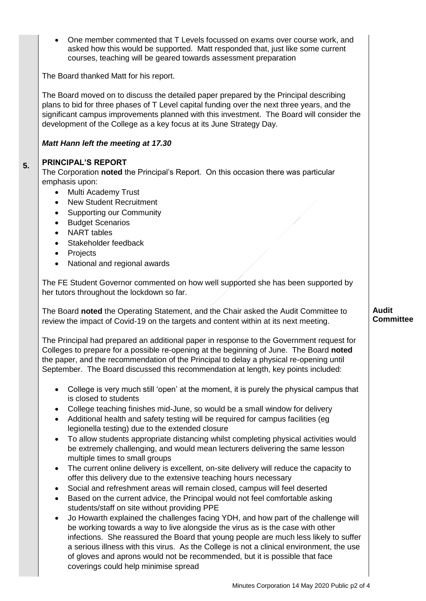One member commented that T Levels focussed on exams over course work, and asked how this would be supported. Matt responded that, just like some current courses, teaching will be geared towards assessment preparation

The Board thanked Matt for his report.

The Board moved on to discuss the detailed paper prepared by the Principal describing plans to bid for three phases of T Level capital funding over the next three years, and the significant campus improvements planned with this investment. The Board will consider the development of the College as a key focus at its June Strategy Day.

## *Matt Hann left the meeting at 17.30*

#### **5. PRINCIPAL'S REPORT**

The Corporation **noted** the Principal's Report. On this occasion there was particular emphasis upon:

- Multi Academy Trust
- New Student Recruitment
- Supporting our Community
- **•** Budget Scenarios
- NART tables
- Stakeholder feedback
- Projects
- National and regional awards

The FE Student Governor commented on how well supported she has been supported by her tutors throughout the lockdown so far.

The Board **noted** the Operating Statement, and the Chair asked the Audit Committee to review the impact of Covid-19 on the targets and content within at its next meeting.

The Principal had prepared an additional paper in response to the Government request for Colleges to prepare for a possible re-opening at the beginning of June. The Board **noted** the paper, and the recommendation of the Principal to delay a physical re-opening until September. The Board discussed this recommendation at length, key points included:

- College is very much still 'open' at the moment, it is purely the physical campus that is closed to students
- College teaching finishes mid-June, so would be a small window for delivery
- Additional health and safety testing will be required for campus facilities (eg legionella testing) due to the extended closure
- To allow students appropriate distancing whilst completing physical activities would be extremely challenging, and would mean lecturers delivering the same lesson multiple times to small groups
- The current online delivery is excellent, on-site delivery will reduce the capacity to offer this delivery due to the extensive teaching hours necessary
- Social and refreshment areas will remain closed, campus will feel deserted
- Based on the current advice, the Principal would not feel comfortable asking students/staff on site without providing PPE
- Jo Howarth explained the challenges facing YDH, and how part of the challenge will be working towards a way to live alongside the virus as is the case with other infections. She reassured the Board that young people are much less likely to suffer a serious illness with this virus. As the College is not a clinical environment, the use of gloves and aprons would not be recommended, but it is possible that face coverings could help minimise spread

### **Audit Committee**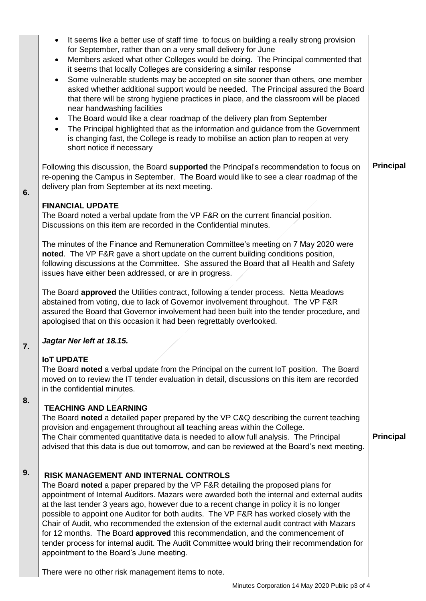| It seems like a better use of staff time to focus on building a really strong provision<br>$\bullet$<br>for September, rather than on a very small delivery for June<br>Members asked what other Colleges would be doing. The Principal commented that<br>$\bullet$<br>it seems that locally Colleges are considering a similar response<br>Some vulnerable students may be accepted on site sooner than others, one member<br>$\bullet$<br>asked whether additional support would be needed. The Principal assured the Board<br>that there will be strong hygiene practices in place, and the classroom will be placed<br>near handwashing facilities<br>The Board would like a clear roadmap of the delivery plan from September<br>$\bullet$<br>The Principal highlighted that as the information and guidance from the Government<br>$\bullet$<br>is changing fast, the College is ready to mobilise an action plan to reopen at very<br>short notice if necessary |  |
|------------------------------------------------------------------------------------------------------------------------------------------------------------------------------------------------------------------------------------------------------------------------------------------------------------------------------------------------------------------------------------------------------------------------------------------------------------------------------------------------------------------------------------------------------------------------------------------------------------------------------------------------------------------------------------------------------------------------------------------------------------------------------------------------------------------------------------------------------------------------------------------------------------------------------------------------------------------------|--|
| Following this discussion, the Board supported the Principal's recommendation to focus on<br>re-opening the Campus in September. The Board would like to see a clear roadmap of the<br>delivery plan from September at its next meeting.                                                                                                                                                                                                                                                                                                                                                                                                                                                                                                                                                                                                                                                                                                                               |  |
| <b>FINANCIAL UPDATE</b><br>The Board noted a verbal update from the VP F&R on the current financial position.<br>Discussions on this item are recorded in the Confidential minutes.                                                                                                                                                                                                                                                                                                                                                                                                                                                                                                                                                                                                                                                                                                                                                                                    |  |
| The minutes of the Finance and Remuneration Committee's meeting on 7 May 2020 were<br>noted. The VP F&R gave a short update on the current building conditions position,<br>following discussions at the Committee. She assured the Board that all Health and Safety<br>issues have either been addressed, or are in progress.                                                                                                                                                                                                                                                                                                                                                                                                                                                                                                                                                                                                                                         |  |
| The Board <b>approved</b> the Utilities contract, following a tender process. Netta Meadows<br>abstained from voting, due to lack of Governor involvement throughout. The VP F&R<br>assured the Board that Governor involvement had been built into the tender procedure, and<br>apologised that on this occasion it had been regrettably overlooked.                                                                                                                                                                                                                                                                                                                                                                                                                                                                                                                                                                                                                  |  |
| Jagtar Ner left at 18.15.                                                                                                                                                                                                                                                                                                                                                                                                                                                                                                                                                                                                                                                                                                                                                                                                                                                                                                                                              |  |
| <b>IOT UPDATE</b><br>The Board noted a verbal update from the Principal on the current IoT position. The Board<br>moved on to review the IT tender evaluation in detail, discussions on this item are recorded<br>in the confidential minutes.                                                                                                                                                                                                                                                                                                                                                                                                                                                                                                                                                                                                                                                                                                                         |  |
| <b>TEACHING AND LEARNING</b><br>The Board noted a detailed paper prepared by the VP C&Q describing the current teaching<br>provision and engagement throughout all teaching areas within the College.<br>The Chair commented quantitative data is needed to allow full analysis. The Principal<br>advised that this data is due out tomorrow, and can be reviewed at the Board's next meeting.                                                                                                                                                                                                                                                                                                                                                                                                                                                                                                                                                                         |  |
| RISK MANAGEMENT AND INTERNAL CONTROLS<br>The Board noted a paper prepared by the VP F&R detailing the proposed plans for<br>appointment of Internal Auditors. Mazars were awarded both the internal and external audits<br>at the last tender 3 years ago, however due to a recent change in policy it is no longer<br>possible to appoint one Auditor for both audits. The VP F&R has worked closely with the<br>Chair of Audit, who recommended the extension of the external audit contract with Mazars<br>for 12 months. The Board approved this recommendation, and the commencement of<br>tender process for internal audit. The Audit Committee would bring their recommendation for<br>appointment to the Board's June meeting.                                                                                                                                                                                                                                |  |

There were no other risk management items to note.

**6.**

**7.**

**8.**

**9.**